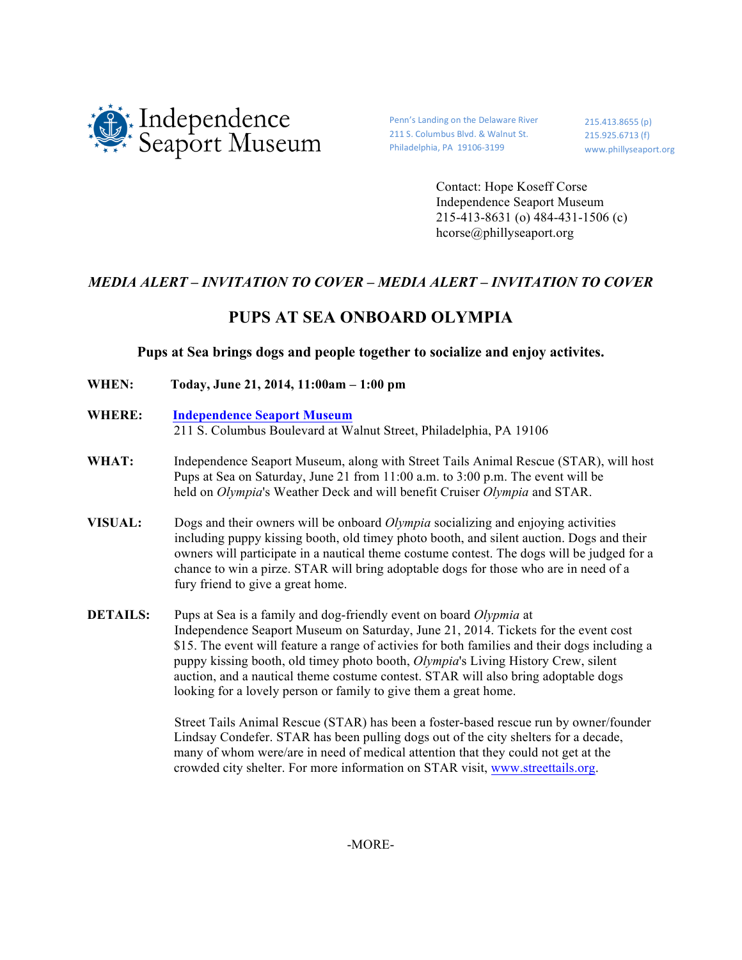

Penn's Landing on the Delaware River 211 S. Columbus Blvd. & Walnut St. Philadelphia, PA 19106-3199

215.413.8655 (p) 215.925.6713 (f) www.phillyseaport.org

Contact: Hope Koseff Corse Independence Seaport Museum 215-413-8631 (o) 484-431-1506 (c) hcorse@phillyseaport.org

## *MEDIA ALERT – INVITATION TO COVER – MEDIA ALERT – INVITATION TO COVER*

## **PUPS AT SEA ONBOARD OLYMPIA**

## **Pups at Sea brings dogs and people together to socialize and enjoy activites.**

- **WHEN: Today, June 21, 2014, 11:00am – 1:00 pm**
- **WHERE: Independence Seaport Museum** 211 S. Columbus Boulevard at Walnut Street, Philadelphia, PA 19106
- **WHAT:** Independence Seaport Museum, along with Street Tails Animal Rescue (STAR), will host Pups at Sea on Saturday, June 21 from 11:00 a.m. to 3:00 p.m. The event will be held on *Olympia*'s Weather Deck and will benefit Cruiser *Olympia* and STAR.
- **VISUAL:** Dogs and their owners will be onboard *Olympia* socializing and enjoying activities including puppy kissing booth, old timey photo booth, and silent auction. Dogs and their owners will participate in a nautical theme costume contest. The dogs will be judged for a chance to win a pirze. STAR will bring adoptable dogs for those who are in need of a fury friend to give a great home.
- **DETAILS:** Pups at Sea is a family and dog-friendly event on board *Olypmia* at Independence Seaport Museum on Saturday, June 21, 2014. Tickets for the event cost \$15. The event will feature a range of activies for both families and their dogs including a puppy kissing booth, old timey photo booth, *Olympia*'s Living History Crew, silent auction, and a nautical theme costume contest. STAR will also bring adoptable dogs looking for a lovely person or family to give them a great home.

Street Tails Animal Rescue (STAR) has been a foster-based rescue run by owner/founder Lindsay Condefer. STAR has been pulling dogs out of the city shelters for a decade, many of whom were/are in need of medical attention that they could not get at the crowded city shelter. For more information on STAR visit, www.streettails.org.